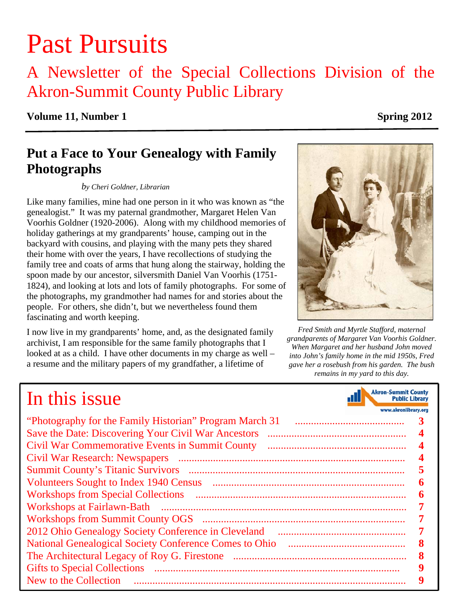# Past Pursuits

A Newsletter of the Special Collections Division of the Akron-Summit County Public Library

# **Volume 11, Number 1** Spring 2012

# **Put a Face to Your Genealogy with Family Photographs**

### *by Cheri Goldner, Librarian*

Like many families, mine had one person in it who was known as "the genealogist." It was my paternal grandmother, Margaret Helen Van Voorhis Goldner (1920-2006). Along with my childhood memories of holiday gatherings at my grandparents' house, camping out in the backyard with cousins, and playing with the many pets they shared their home with over the years, I have recollections of studying the family tree and coats of arms that hung along the stairway, holding the spoon made by our ancestor, silversmith Daniel Van Voorhis (1751- 1824), and looking at lots and lots of family photographs. For some of the photographs, my grandmother had names for and stories about the people. For others, she didn't, but we nevertheless found them fascinating and worth keeping.

I now live in my grandparents' home, and, as the designated family archivist, I am responsible for the same family photographs that I looked at as a child. I have other documents in my charge as well – a resume and the military papers of my grandfather, a lifetime of

# *Fred Smith and Myrtle Stafford, maternal*

*grandparents of Margaret Van Voorhis Goldner. When Margaret and her husband John moved into John's family home in the mid 1950s, Fred gave her a rosebush from his garden. The bush remains in my yard to this day.* 

> **Akron-Summit County Public Library** www.akronlibrary.org

# In this issue

| "Photography for the Family Historian" Program March 31                                                                                                                                                                                                                                                                                                                                                                                                                |   |
|------------------------------------------------------------------------------------------------------------------------------------------------------------------------------------------------------------------------------------------------------------------------------------------------------------------------------------------------------------------------------------------------------------------------------------------------------------------------|---|
|                                                                                                                                                                                                                                                                                                                                                                                                                                                                        | 4 |
|                                                                                                                                                                                                                                                                                                                                                                                                                                                                        |   |
| Civil War Research: Newspapers<br>$\begin{minipage}{0.5\textwidth} \begin{tabular}{ c c c } \hline \multicolumn{1}{ c }{p} & \multicolumn{1}{ c }{p} & \multicolumn{1}{ c }{p} & \multicolumn{1}{ c }{p} & \multicolumn{1}{ c }{p} & \multicolumn{1}{ c }{p} & \multicolumn{1}{ c }{p} & \multicolumn{1}{ c }{p} & \multicolumn{1}{ c }{p} & \multicolumn{1}{ c }{p} & \multicolumn{1}{ c }{p} & \multicolumn{1}{ c }{p} & \multicolumn{1}{ c }{p} & \multicolumn{1}{$ |   |
|                                                                                                                                                                                                                                                                                                                                                                                                                                                                        |   |
| Volunteers Sought to Index 1940 Census                                                                                                                                                                                                                                                                                                                                                                                                                                 |   |
|                                                                                                                                                                                                                                                                                                                                                                                                                                                                        |   |
|                                                                                                                                                                                                                                                                                                                                                                                                                                                                        |   |
|                                                                                                                                                                                                                                                                                                                                                                                                                                                                        |   |
|                                                                                                                                                                                                                                                                                                                                                                                                                                                                        |   |
| <b>National Genealogical Society Conference Comes to Ohio</b>                                                                                                                                                                                                                                                                                                                                                                                                          |   |
|                                                                                                                                                                                                                                                                                                                                                                                                                                                                        |   |
|                                                                                                                                                                                                                                                                                                                                                                                                                                                                        |   |
| New to the Collection                                                                                                                                                                                                                                                                                                                                                                                                                                                  |   |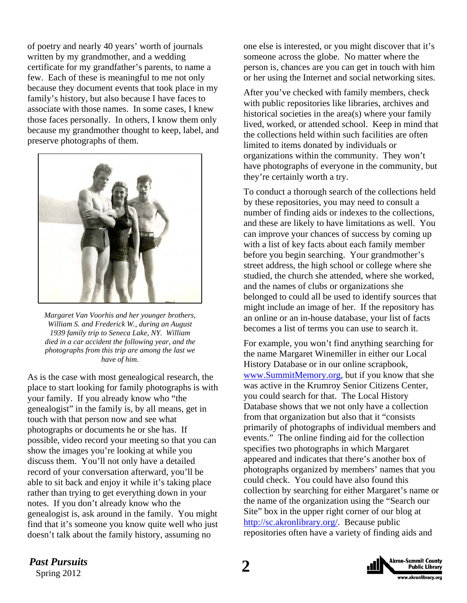of poetry and nearly 40 years' worth of journals written by my grandmother, and a wedding certificate for my grandfather's parents, to name a few. Each of these is meaningful to me not only because they document events that took place in my family's history, but also because I have faces to associate with those names. In some cases, I knew those faces personally. In others, I know them only because my grandmother thought to keep, label, and preserve photographs of them.



*Margaret Van Voorhis and her younger brothers, William S. and Frederick W., during an August 1939 family trip to Seneca Lake, NY. William died in a car accident the following year, and the photographs from this trip are among the last we have of him.* 

As is the case with most genealogical research, the place to start looking for family photographs is with your family. If you already know who "the genealogist" in the family is, by all means, get in touch with that person now and see what photographs or documents he or she has. If possible, video record your meeting so that you can show the images you're looking at while you discuss them. You'll not only have a detailed record of your conversation afterward, you'll be able to sit back and enjoy it while it's taking place rather than trying to get everything down in your notes. If you don't already know who the genealogist is, ask around in the family. You might find that it's someone you know quite well who just doesn't talk about the family history, assuming no

one else is interested, or you might discover that it's someone across the globe. No matter where the person is, chances are you can get in touch with him or her using the Internet and social networking sites.

After you've checked with family members, check with public repositories like libraries, archives and historical societies in the area(s) where your family lived, worked, or attended school. Keep in mind that the collections held within such facilities are often limited to items donated by individuals or organizations within the community. They won't have photographs of everyone in the community, but they're certainly worth a try.

To conduct a thorough search of the collections held by these repositories, you may need to consult a number of finding aids or indexes to the collections, and these are likely to have limitations as well. You can improve your chances of success by coming up with a list of key facts about each family member before you begin searching. Your grandmother's street address, the high school or college where she studied, the church she attended, where she worked, and the names of clubs or organizations she belonged to could all be used to identify sources that might include an image of her. If the repository has an online or an in-house database, your list of facts becomes a list of terms you can use to search it.

For example, you won't find anything searching for the name Margaret Winemiller in either our Local History Database or in our online scrapbook, www.SummitMemory.org, but if you know that she was active in the Krumroy Senior Citizens Center, you could search for that. The Local History Database shows that we not only have a collection from that organization but also that it "consists primarily of photographs of individual members and events." The online finding aid for the collection specifies two photographs in which Margaret appeared and indicates that there's another box of photographs organized by members' names that you could check. You could have also found this collection by searching for either Margaret's name or the name of the organization using the "Search our Site" box in the upper right corner of our blog at http://sc.akronlibrary.org/. Because public repositories often have a variety of finding aids and

*Past Pursuits* 2

Spring 2012

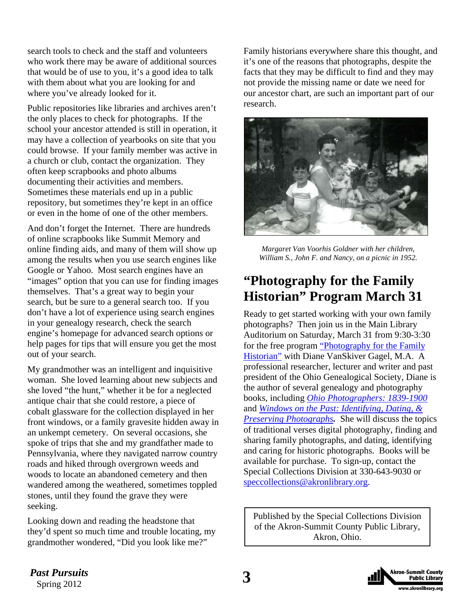<span id="page-2-0"></span>search tools to check and the staff and volunteers who work there may be aware of additional sources that would be of use to you, it's a good idea to talk with them about what you are looking for and where you've already looked for it.

Public repositories like libraries and archives aren't the only places to check for photographs. If the school your ancestor attended is still in operation, it may have a collection of yearbooks on site that you could browse. If your family member was active in a church or club, contact the organization. They often keep scrapbooks and photo albums documenting their activities and members. Sometimes these materials end up in a public repository, but sometimes they're kept in an office or even in the home of one of the other members.

And don't forget the Internet. There are hundreds of online scrapbooks like Summit Memory and online finding aids, and many of them will show up among the results when you use search engines like Google or Yahoo. Most search engines have an "images" option that you can use for finding images themselves. That's a great way to begin your search, but be sure to a general search too. If you don't have a lot of experience using search engines in your genealogy research, check the search engine's homepage for advanced search options or help pages for tips that will ensure you get the most out of your search.

My grandmother was an intelligent and inquisitive woman. She loved learning about new subjects and she loved "the hunt," whether it be for a neglected antique chair that she could restore, a piece of cobalt glassware for the collection displayed in her front windows, or a family gravesite hidden away in an unkempt cemetery. On several occasions, she spoke of trips that she and my grandfather made to Pennsylvania, where they navigated narrow country roads and hiked through overgrown weeds and woods to locate an abandoned cemetery and then wandered among the weathered, sometimes toppled stones, until they found the grave they were seeking.

Looking down and reading the headstone that they'd spent so much time and trouble locating, my grandmother wondered, "Did you look like me?"

Family historians everywhere share this thought, and it's one of the reasons that photographs, despite the facts that they may be difficult to find and they may not provide the missing name or date we need for our ancestor chart, are such an important part of our research.



*Margaret Van Voorhis Goldner with her children, William S., John F. and Nancy, on a picnic in 1952.*

# **"Photography for the Family Historian" Program March 31**

Ready to get started working with your own family photographs? Then join us in the Main Library Auditorium on Saturday, March 31 from 9:30-3:30 [for the free program "Photography for the Family](http://sc.akronlibrary.org/classes-events/photography-for-the-family-historian/)  Historian" with Diane VanSkiver Gagel, M.A. A professional researcher, lecturer and writer and past president of the Ohio Genealogical Society, Diane is the author of several genealogy and photography books, including *[Ohio Photographers: 1839-1900](http://encore.akronlibrary.org/iii/encore/record/C__Rb1521757__Sohio+photographers__Orightresult__X5?lang=eng&suite=def)* and *[Windows on the Past: Identifying, Dating, &](http://encore.akronlibrary.org/iii/encore/record/C__Rb1311512__Swindows+on+the+past__P0%2C1__Orightresult__X5?lang=eng&suite=def) Preserving Photographs.* She will discuss the topics of traditional verses digital photography, finding and sharing family photographs, and dating, identifying and caring for historic photographs. Books will be available for purchase. To sign-up, contact the Special Collections Division at 330-643-9030 or speccollections@akronlibrary.org.

Published by the Special Collections Division of the Akron-Summit County Public Library, Akron, Ohio.

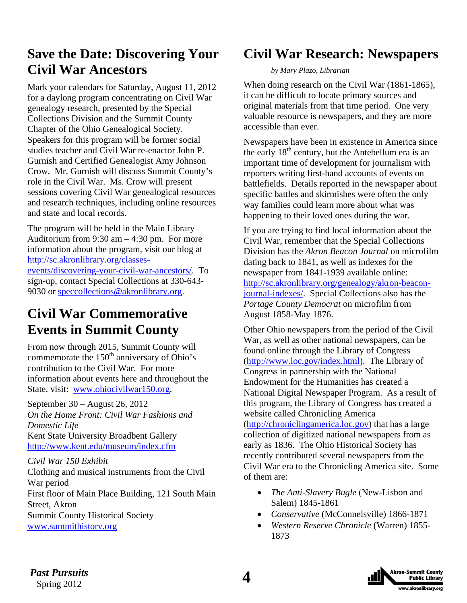# <span id="page-3-0"></span>**Save the Date: Discovering Your Civil War Ancestors**

Mark your calendars for Saturday, August 11, 2012 for a daylong program concentrating on Civil War genealogy research, presented by the Special Collections Division and the Summit County Chapter of the Ohio Genealogical Society. Speakers for this program will be former social studies teacher and Civil War re-enactor John P. Gurnish and Certified Genealogist Amy Johnson Crow. Mr. Gurnish will discuss Summit County's role in the Civil War. Ms. Crow will present sessions covering Civil War genealogical resources and research techniques, including online resources and state and local records.

The program will be held in the Main Library Auditorium from 9:30 am – 4:30 pm. For more information about the program, visit our blog at http://sc.akronlibrary.org/classesevents/discovering-your-civil-war-ancestors/. To sign-up, contact Special Collections at 330-643- 9030 or speccollections@akronlibrary.org.

# **Civil War Commemorative Events in Summit County**

From now through 2015, Summit County will commemorate the  $150<sup>th</sup>$  anniversary of Ohio's contribution to the Civil War. For more information about events here and throughout the State, visit: www.ohiocivilwar150.org.

September 30 – August 26, 2012 *On the Home Front: Civil War Fashions and Domestic Life*  Kent State University Broadbent Gallery http://www.kent.edu/museum/index.cfm

### *Civil War 150 Exhibit*

Clothing and musical instruments from the Civil War period First floor of Main Place Building, 121 South Main Street, Akron Summit County Historical Society www.summithistory.org

# **Civil War Research: Newspapers**

### *by Mary Plazo, Librarian*

When doing research on the Civil War (1861-1865), it can be difficult to locate primary sources and original materials from that time period. One very valuable resource is newspapers, and they are more accessible than ever.

Newspapers have been in existence in America since the early  $18<sup>th</sup>$  century, but the Antebellum era is an important time of development for journalism with reporters writing first-hand accounts of events on battlefields. Details reported in the newspaper about specific battles and skirmishes were often the only way families could learn more about what was happening to their loved ones during the war.

If you are trying to find local information about the Civil War, remember that the Special Collections Division has the *Akron Beacon Journal* on microfilm dating back to 1841, as well as indexes for the newspaper from 1841-1939 available online: http://sc.akronlibrary.org/genealogy/akron-beaconjournal-indexes/. Special Collections also has the *Portage County Democrat* on microfilm from August 1858-May 1876.

Other Ohio newspapers from the period of the Civil War, as well as other national newspapers, can be found online through the Library of Congress (http://www.loc.gov/index.html). The Library of Congress in partnership with the National Endowment for the Humanities has created a National Digital Newspaper Program. As a result of this program, the Library of Congress has created a website called Chronicling America (http://chroniclingamerica.loc.gov) that has a large

collection of digitized national newspapers from as early as 1836. The Ohio Historical Society has recently contributed several newspapers from the Civil War era to the Chronicling America site. Some of them are:

- *The Anti-Slavery Bugle* (New-Lisbon and Salem) 1845-1861
- *Conservative* (McConnelsville) 1866-1871
- *Western Reserve Chronicle* (Warren) 1855- 1873

*Past Pursuits*  $\Delta$ Spring 2012

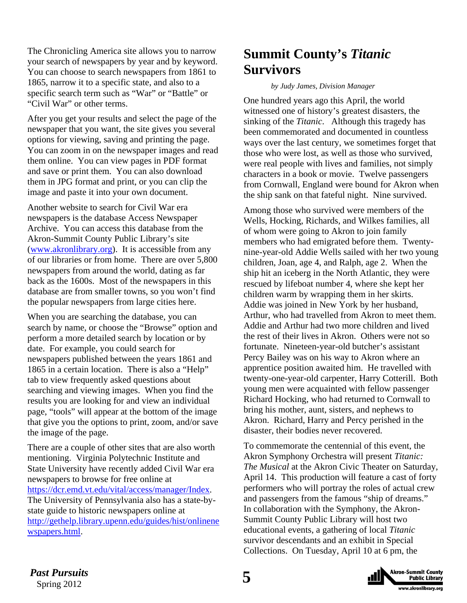<span id="page-4-0"></span>The Chronicling America site allows you to narrow your search of newspapers by year and by keyword. You can choose to search newspapers from 1861 to 1865, narrow it to a specific state, and also to a specific search term such as "War" or "Battle" or "Civil War" or other terms.

After you get your results and select the page of the newspaper that you want, the site gives you several options for viewing, saving and printing the page. You can zoom in on the newspaper images and read them online. You can view pages in PDF format and save or print them. You can also download them in JPG format and print, or you can clip the image and paste it into your own document.

Another website to search for Civil War era newspapers is the database Access Newspaper Archive. You can access this database from the Akron-Summit County Public Library's site (www.akronlibrary.org). It is accessible from any of our libraries or from home. There are over 5,800 newspapers from around the world, dating as far back as the 1600s. Most of the newspapers in this database are from smaller towns, so you won't find the popular newspapers from large cities here.

When you are searching the database, you can search by name, or choose the "Browse" option and perform a more detailed search by location or by date. For example, you could search for newspapers published between the years 1861 and 1865 in a certain location. There is also a "Help" tab to view frequently asked questions about searching and viewing images. When you find the results you are looking for and view an individual page, "tools" will appear at the bottom of the image that give you the options to print, zoom, and/or save the image of the page.

There are a couple of other sites that are also worth mentioning. Virginia Polytechnic Institute and State University have recently added Civil War era newspapers to browse for free online at https://dcr.emd.vt.edu/vital/access/manager/Index. The University of Pennsylvania also has a state-bystate guide to historic newspapers online at [http://gethelp.library.upenn.edu/guides/hist/onlinene](http://gethelp.library.upenn.edu/guides/hist/onlinenewspapers.html) wspapers.html.

# **Summit County's** *Titanic* **Survivors**

### *by Judy James, Division Manager*

One hundred years ago this April, the world witnessed one of history's greatest disasters, the sinking of the *Titanic*. Although this tragedy has been commemorated and documented in countless ways over the last century, we sometimes forget that those who were lost, as well as those who survived, were real people with lives and families, not simply characters in a book or movie. Twelve passengers from Cornwall, England were bound for Akron when the ship sank on that fateful night. Nine survived.

Among those who survived were members of the Wells, Hocking, Richards, and Wilkes families, all of whom were going to Akron to join family members who had emigrated before them. Twentynine-year-old Addie Wells sailed with her two young children, Joan, age 4, and Ralph, age 2. When the ship hit an iceberg in the North Atlantic, they were rescued by lifeboat number 4, where she kept her children warm by wrapping them in her skirts. Addie was joined in New York by her husband, Arthur, who had travelled from Akron to meet them. Addie and Arthur had two more children and lived the rest of their lives in Akron. Others were not so fortunate. Nineteen-year-old butcher's assistant Percy Bailey was on his way to Akron where an apprentice position awaited him. He travelled with twenty-one-year-old carpenter, Harry Cotterill. Both young men were acquainted with fellow passenger Richard Hocking, who had returned to Cornwall to bring his mother, aunt, sisters, and nephews to Akron. Richard, Harry and Percy perished in the disaster, their bodies never recovered.

To commemorate the centennial of this event, the Akron Symphony Orchestra will present *Titanic: The Musical* at the Akron Civic Theater on Saturday, April 14. This production will feature a cast of forty performers who will portray the roles of actual crew and passengers from the famous "ship of dreams." In collaboration with the Symphony, the Akron-Summit County Public Library will host two educational events, a gathering of local *Titanic*  survivor descendants and an exhibit in Special Collections. On Tuesday, April 10 at 6 pm, the

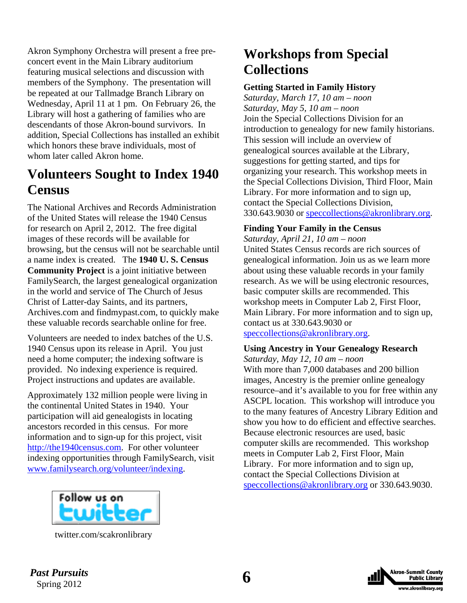<span id="page-5-0"></span>Akron Symphony Orchestra will present a free preconcert event in the Main Library auditorium featuring musical selections and discussion with members of the Symphony. The presentation will be repeated at our Tallmadge Branch Library on Wednesday, April 11 at 1 pm. On February 26, the Library will host a gathering of families who are descendants of those Akron-bound survivors. In addition, Special Collections has installed an exhibit which honors these brave individuals, most of whom later called Akron home.

# **Volunteers Sought to Index 1940 Census**

The National Archives and Records Administration of the United States will release the 1940 Census for research on April 2, 2012. The free digital images of these records will be available for browsing, but the census will not be searchable until a name index is created. The **1940 U. S. Census Community Project** is a joint initiative between FamilySearch, the largest genealogical organization in the world and service of The Church of Jesus Christ of Latter-day Saints, and its partners, Archives.com and findmypast.com, to quickly make these valuable records searchable online for free.

Volunteers are needed to index batches of the U.S. 1940 Census upon its release in April. You just need a home computer; the indexing software is provided. No indexing experience is required. Project instructions and updates are available.

Approximately 132 million people were living in the continental United States in 1940. Your participation will aid genealogists in locating ancestors recorded in this census. For more information and to sign-up for this project, visit http://the1940census.com. For other volunteer indexing opportunities through FamilySearch, visit www.familysearch.org/volunteer/indexing.



[twitter.com/scakronlibrary](http://twitter.com/scakronlibrary) 

# **Workshops from Special Collections**

### **Getting Started in Family History**

*Saturday, March 17, 10 am – noon Saturday, May 5, 10 am – noon*  Join the Special Collections Division for an introduction to genealogy for new family historians. This session will include an overview of genealogical sources available at the Library, suggestions for getting started, and tips for organizing your research. This workshop meets in the Special Collections Division, Third Floor, Main Library. For more information and to sign up, contact the Special Collections Division, 330.643.9030 or speccollections@akronlibrary.org.

### **Finding Your Family in the Census**

*Saturday, April 21, 10 am – noon*  United States Census records are rich sources of genealogical information. Join us as we learn more about using these valuable records in your family research. As we will be using electronic resources, basic computer skills are recommended. This workshop meets in Computer Lab 2, First Floor, Main Library. For more information and to sign up, contact us at 330.643.9030 or speccollections@akronlibrary.org.

### **Using Ancestry in Your Genealogy Research**

*Saturday, May 12, 10 am – noon* 

With more than 7,000 databases and 200 billion images, Ancestry is the premier online genealogy resource–and it's available to you for free within any ASCPL location. This workshop will introduce you to the many features of Ancestry Library Edition and show you how to do efficient and effective searches. Because electronic resources are used, basic computer skills are recommended. This workshop meets in Computer Lab 2, First Floor, Main Library. For more information and to sign up, contact the Special Collections Division at speccollections@akronlibrary.org or 330.643.9030.



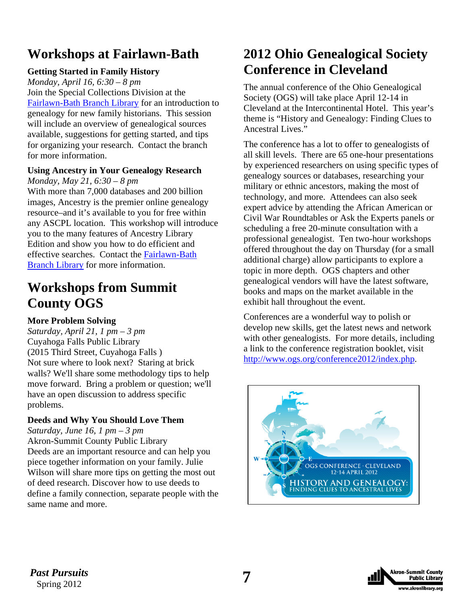# <span id="page-6-0"></span>**Workshops at Fairlawn-Bath**

# **Getting Started in Family History**

*Monday, April 16, 6:30 – 8 pm*  Join the Special Collections Division at the [Fairlawn-Bath Branch Library](http://www.akronlibrary.org/fairlawnbath/) for an introduction to genealogy for new family historians. This session will include an overview of genealogical sources available, suggestions for getting started, and tips for organizing your research. Contact the branch for more information.

### **Using Ancestry in Your Genealogy Research**  *Monday, May 21, 6:30 – 8 pm*

With more than 7,000 databases and 200 billion images, Ancestry is the premier online genealogy resource–and it's available to you for free within any ASCPL location. This workshop will introduce you to the many features of Ancestry Library Edition and show you how to do efficient and [effective searches. Contact the Fairlawn-Bath](http://www.akronlibrary.org/fairlawnbath/)  Branch Library for more information.

# **Workshops from Summit County OGS**

# **More Problem Solving**

*Saturday, April 21, 1 pm – 3 pm*  Cuyahoga Falls Public Library (2015 Third Street, Cuyahoga Falls ) Not sure where to look next? Staring at brick walls? We'll share some methodology tips to help move forward. Bring a problem or question; we'll have an open discussion to address specific problems.

# **Deeds and Why You Should Love Them**

*Saturday, June 16, 1 pm – 3 pm*  Akron-Summit County Public Library Deeds are an important resource and can help you piece together information on your family. Julie Wilson will share more tips on getting the most out of deed research. Discover how to use deeds to define a family connection, separate people with the same name and more.

# **2012 Ohio Genealogical Society Conference in Cleveland**

The annual conference of the Ohio Genealogical Society (OGS) will take place April 12-14 in Cleveland at the Intercontinental Hotel. This year's theme is "History and Genealogy: Finding Clues to Ancestral Lives."

The conference has a lot to offer to genealogists of all skill levels. There are 65 one-hour presentations by experienced researchers on using specific types of genealogy sources or databases, researching your military or ethnic ancestors, making the most of technology, and more. Attendees can also seek expert advice by attending the African American or Civil War Roundtables or Ask the Experts panels or scheduling a free 20-minute consultation with a professional genealogist. Ten two-hour workshops offered throughout the day on Thursday (for a small additional charge) allow participants to explore a topic in more depth. OGS chapters and other genealogical vendors will have the latest software, books and maps on the market available in the exhibit hall throughout the event.

Conferences are a wonderful way to polish or develop new skills, get the latest news and network with other genealogists. For more details, including a link to the conference registration booklet, visit http://www.ogs.org/conference2012/index.php.



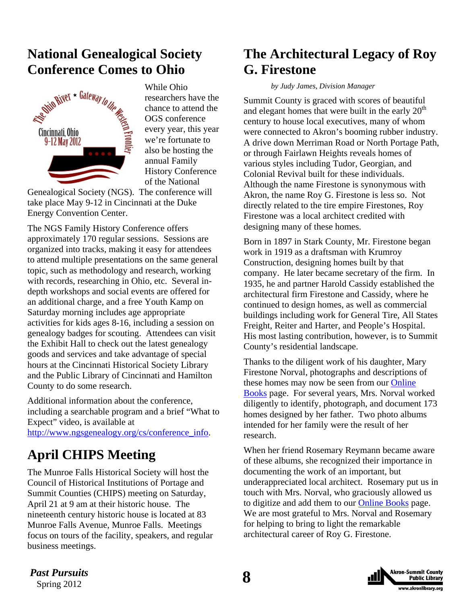# <span id="page-7-0"></span>**National Genealogical Society Conference Comes to Ohio**



While Ohio researchers have the chance to attend the OGS conference every year, this year we're fortunate to also be hosting the annual Family History Conference of the National

Genealogical Society (NGS). The conference will take place May 9-12 in Cincinnati at the Duke Energy Convention Center.

The NGS Family History Conference offers approximately 170 regular sessions. Sessions are organized into tracks, making it easy for attendees to attend multiple presentations on the same general topic, such as methodology and research, working with records, researching in Ohio, etc. Several indepth workshops and social events are offered for an additional charge, and a free Youth Kamp on Saturday morning includes age appropriate activities for kids ages 8-16, including a session on genealogy badges for scouting. Attendees can visit the Exhibit Hall to check out the latest genealogy goods and services and take advantage of special hours at the Cincinnati Historical Society Library and the Public Library of Cincinnati and Hamilton County to do some research.

Additional information about the conference, including a searchable program and a brief "What to Expect" video, is available at http://www.ngsgenealogy.org/cs/conference\_info.

# **April CHIPS Meeting**

The Munroe Falls Historical Society will host the Council of Historical Institutions of Portage and Summit Counties (CHIPS) meeting on Saturday, April 21 at 9 am at their historic house. The nineteenth century historic house is located at 83 Munroe Falls Avenue, Munroe Falls. Meetings focus on tours of the facility, speakers, and regular business meetings.

# **The Architectural Legacy of Roy G. Firestone**

### *by Judy James, Division Manager*

Summit County is graced with scores of beautiful and elegant homes that were built in the early  $20<sup>th</sup>$ century to house local executives, many of whom were connected to Akron's booming rubber industry. A drive down Merriman Road or North Portage Path, or through Fairlawn Heights reveals homes of various styles including Tudor, Georgian, and Colonial Revival built for these individuals. Although the name Firestone is synonymous with Akron, the name Roy G. Firestone is less so. Not directly related to the tire empire Firestones, Roy Firestone was a local architect credited with designing many of these homes.

Born in 1897 in Stark County, Mr. Firestone began work in 1919 as a draftsman with Krumroy Construction, designing homes built by that company. He later became secretary of the firm. In 1935, he and partner Harold Cassidy established the architectural firm Firestone and Cassidy, where he continued to design homes, as well as commercial buildings including work for General Tire, All States Freight, Reiter and Harter, and People's Hospital. His most lasting contribution, however, is to Summit County's residential landscape.

Thanks to the diligent work of his daughter, Mary Firestone Norval, photographs and descriptions of [these homes may now be seen from our Online](http://sc.akronlibrary.org/local-history/online-books/)  Books page. For several years, Mrs. Norval worked diligently to identify, photograph, and document 173 homes designed by her father. Two photo albums intended for her family were the result of her research.

When her friend Rosemary Reymann became aware of these albums, she recognized their importance in documenting the work of an important, but underappreciated local architect. Rosemary put us in touch with Mrs. Norval, who graciously allowed us to digitize and add them to our [Online Books](http://sc.akronlibrary.org/local-history/online-books/) page. We are most grateful to Mrs. Norval and Rosemary for helping to bring to light the remarkable architectural career of Roy G. Firestone.



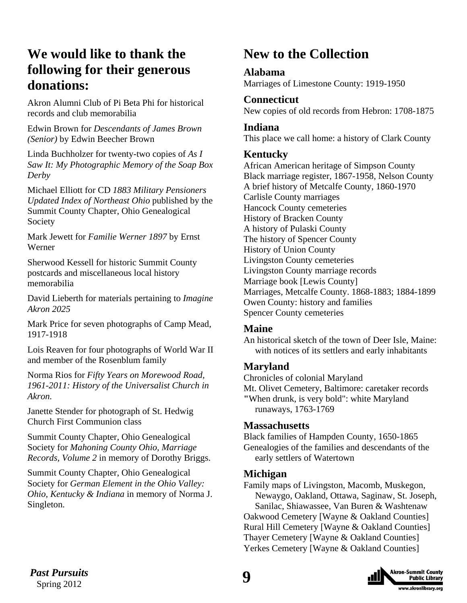# <span id="page-8-0"></span>**We would like to thank the following for their generous donations:**

Akron Alumni Club of Pi Beta Phi for historical records and club memorabilia

Edwin Brown for *Descendants of James Brown (Senior)* by Edwin Beecher Brown

Linda Buchholzer for twenty-two copies of *As I Saw It: My Photographic Memory of the Soap Box Derby*

Michael Elliott for CD *1883 Military Pensioners Updated Index of Northeast Ohio* published by the Summit County Chapter, Ohio Genealogical Society

Mark Jewett for *Familie Werner 1897* by Ernst Werner

Sherwood Kessell for historic Summit County postcards and miscellaneous local history memorabilia

David Lieberth for materials pertaining to *Imagine Akron 2025*

Mark Price for seven photographs of Camp Mead, 1917-1918

Lois Reaven for four photographs of World War II and member of the Rosenblum family

Norma Rios for *Fifty Years on Morewood Road, 1961-2011: History of the Universalist Church in Akron.*

Janette Stender for photograph of St. Hedwig Church First Communion class

Summit County Chapter, Ohio Genealogical Society for *Mahoning County Ohio, Marriage Records, Volume 2* in memory of Dorothy Briggs.

Summit County Chapter, Ohio Genealogical Society for *German Element in the Ohio Valley: Ohio, Kentucky & Indiana* in memory of Norma J. Singleton.

# **New to the Collection**

# **Alabama**

Marriages of Limestone County: 1919-1950

# **Connecticut**

New copies of old records from Hebron: 1708-1875

### **Indiana**

This place we call home: a history of Clark County

# **Kentucky**

African American heritage of Simpson County Black marriage register, 1867-1958, Nelson County A brief history of Metcalfe County, 1860-1970 Carlisle County marriages Hancock County cemeteries History of Bracken County A history of Pulaski County The history of Spencer County History of Union County Livingston County cemeteries Livingston County marriage records Marriage book [Lewis County] Marriages, Metcalfe County. 1868-1883; 1884-1899 Owen County: history and families Spencer County cemeteries

### **Maine**

An historical sketch of the town of Deer Isle, Maine: with notices of its settlers and early inhabitants

# **Maryland**

Chronicles of colonial Maryland Mt. Olivet Cemetery, Baltimore: caretaker records **"**When drunk, is very bold": white Maryland runaways, 1763-1769

# **Massachusetts**

Black families of Hampden County, 1650-1865 Genealogies of the families and descendants of the early settlers of Watertown

# **Michigan**

Family maps of Livingston, Macomb, Muskegon, Newaygo, Oakland, Ottawa, Saginaw, St. Joseph, Sanilac, Shiawassee, Van Buren & Washtenaw Oakwood Cemetery [Wayne & Oakland Counties] Rural Hill Cemetery [Wayne & Oakland Counties] Thayer Cemetery [Wayne & Oakland Counties] Yerkes Cemetery [Wayne & Oakland Counties]

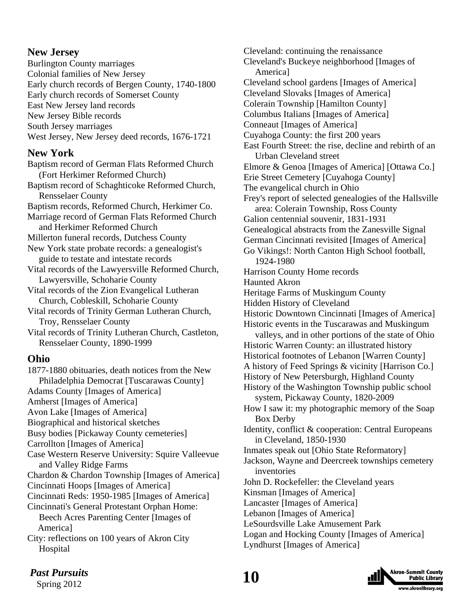# **New Jersey**

Burlington County marriages Colonial families of New Jersey Early church records of Bergen County, 1740-1800 Early church records of Somerset County East New Jersey land records New Jersey Bible records South Jersey marriages West Jersey, New Jersey deed records, 1676-1721

# **New York**

Baptism record of German Flats Reformed Church (Fort Herkimer Reformed Church) Baptism record of Schaghticoke Reformed Church, Rensselaer County Baptism records, Reformed Church, Herkimer Co. Marriage record of German Flats Reformed Church and Herkimer Reformed Church Millerton funeral records, Dutchess County New York state probate records: a genealogist's guide to testate and intestate records Vital records of the Lawyersville Reformed Church, Lawyersville, Schoharie County Vital records of the Zion Evangelical Lutheran Church, Cobleskill, Schoharie County Vital records of Trinity German Lutheran Church, Troy, Rensselaer County Vital records of Trinity Lutheran Church, Castleton, Rensselaer County, 1890-1999 **Ohio** 

1877-1880 obituaries, death notices from the New Philadelphia Democrat [Tuscarawas County] Adams County [Images of America] Amherst [Images of America] Avon Lake [Images of America] Biographical and historical sketches Busy bodies [Pickaway County cemeteries] Carrollton [Images of America] Case Western Reserve University: Squire Valleevue and Valley Ridge Farms Chardon & Chardon Township [Images of America] Cincinnati Hoops [Images of America] Cincinnati Reds: 1950-1985 [Images of America] Cincinnati's General Protestant Orphan Home: Beech Acres Parenting Center [Images of America] City: reflections on 100 years of Akron City Hospital

Cleveland: continuing the renaissance Cleveland's Buckeye neighborhood [Images of America] Cleveland school gardens [Images of America] Cleveland Slovaks [Images of America] Colerain Township [Hamilton County] Columbus Italians [Images of America] Conneaut [Images of America] Cuyahoga County: the first 200 years East Fourth Street: the rise, decline and rebirth of an Urban Cleveland street Elmore & Genoa [Images of America] [Ottawa Co.] Erie Street Cemetery [Cuyahoga County] The evangelical church in Ohio Frey's report of selected genealogies of the Hallsville area: Colerain Township, Ross County Galion centennial souvenir, 1831-1931 Genealogical abstracts from the Zanesville Signal German Cincinnati revisited [Images of America] Go Vikings!: North Canton High School football, 1924-1980 Harrison County Home records Haunted Akron Heritage Farms of Muskingum County Hidden History of Cleveland Historic Downtown Cincinnati [Images of America] Historic events in the Tuscarawas and Muskingum valleys, and in other portions of the state of Ohio Historic Warren County: an illustrated history Historical footnotes of Lebanon [Warren County] A history of Feed Springs & vicinity [Harrison Co.] History of New Petersburgh, Highland County History of the Washington Township public school system, Pickaway County, 1820-2009 How I saw it: my photographic memory of the Soap Box Derby Identity, conflict & cooperation: Central Europeans in Cleveland, 1850-1930 Inmates speak out [Ohio State Reformatory] Jackson, Wayne and Deercreek townships cemetery inventories John D. Rockefeller: the Cleveland years Kinsman [Images of America] Lancaster [Images of America] Lebanon [Images of America] LeSourdsville Lake Amusement Park Logan and Hocking County [Images of America]

Lyndhurst [Images of America]

# *Past Pursuits* **10**

Spring 2012

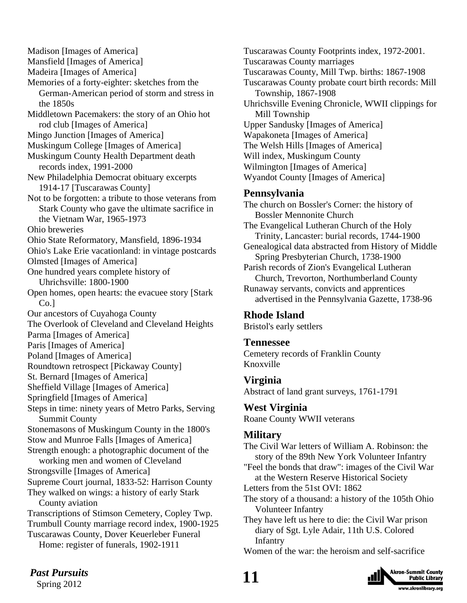Madison [Images of America] Mansfield [Images of America] Madeira [Images of America] Memories of a forty-eighter: sketches from the German-American period of storm and stress in the 1850s Middletown Pacemakers: the story of an Ohio hot rod club [Images of America] Mingo Junction [Images of America] Muskingum College [Images of America] Muskingum County Health Department death records index, 1991-2000 New Philadelphia Democrat obituary excerpts 1914-17 [Tuscarawas County] Not to be forgotten: a tribute to those veterans from Stark County who gave the ultimate sacrifice in the Vietnam War, 1965-1973 Ohio breweries Ohio State Reformatory, Mansfield, 1896-1934 Ohio's Lake Erie vacationland: in vintage postcards Olmsted [Images of America] One hundred years complete history of Uhrichsville: 1800-1900 Open homes, open hearts: the evacuee story [Stark Co.<sub>1</sub> Our ancestors of Cuyahoga County The Overlook of Cleveland and Cleveland Heights Parma [Images of America] Paris [Images of America] Poland [Images of America] Roundtown retrospect [Pickaway County] St. Bernard [Images of America] Sheffield Village [Images of America] Springfield [Images of America] Steps in time: ninety years of Metro Parks, Serving Summit County Stonemasons of Muskingum County in the 1800's Stow and Munroe Falls [Images of America] Strength enough: a photographic document of the working men and women of Cleveland Strongsville [Images of America] Supreme Court journal, 1833-52: Harrison County They walked on wings: a history of early Stark County aviation Transcriptions of Stimson Cemetery, Copley Twp. Trumbull County marriage record index, 1900-1925 Tuscarawas County, Dover Keuerleber Funeral Home: register of funerals, 1902-1911

Tuscarawas County Footprints index, 1972-2001. Tuscarawas County marriages Tuscarawas County, Mill Twp. births: 1867-1908 Tuscarawas County probate court birth records: Mill Township, 1867-1908 Uhrichsville Evening Chronicle, WWII clippings for Mill Township Upper Sandusky [Images of America] Wapakoneta [Images of America] The Welsh Hills [Images of America] Will index, Muskingum County Wilmington [Images of America] Wyandot County [Images of America] **Pennsylvania**  The church on Bossler's Corner: the history of Bossler Mennonite Church The Evangelical Lutheran Church of the Holy Trinity, Lancaster: burial records, 1744-1900 Genealogical data abstracted from History of Middle Spring Presbyterian Church, 1738-1900 Parish records of Zion's Evangelical Lutheran

 Church, Trevorton, Northumberland County Runaway servants, convicts and apprentices advertised in the Pennsylvania Gazette, 1738-96

### **Rhode Island**

Bristol's early settlers

### **Tennessee**

Cemetery records of Franklin County Knoxville

# **Virginia**

Abstract of land grant surveys, 1761-1791

# **West Virginia**

Roane County WWII veterans

# **Military**

The Civil War letters of William A. Robinson: the story of the 89th New York Volunteer Infantry

"Feel the bonds that draw": images of the Civil War at the Western Reserve Historical Society

Letters from the 51st OVI: 1862

The story of a thousand: a history of the 105th Ohio Volunteer Infantry

They have left us here to die: the Civil War prison diary of Sgt. Lyle Adair, 11th U.S. Colored Infantry

Women of the war: the heroism and self-sacrifice



# *Past Pursuits* 11

Spring 2012